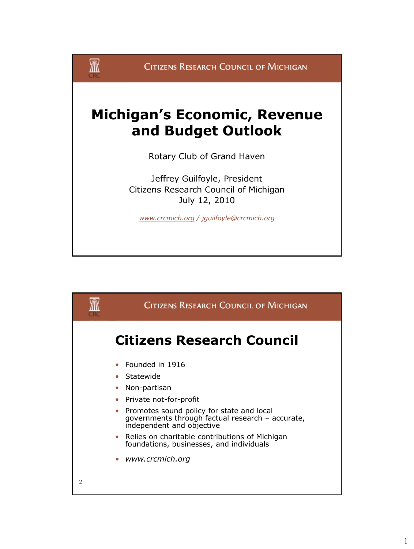

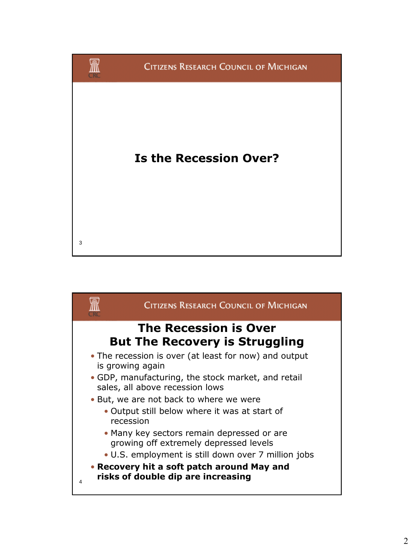

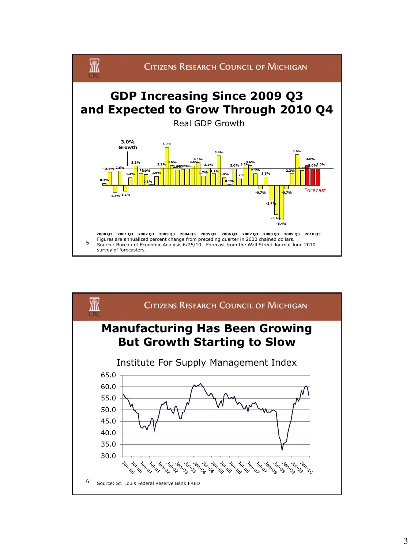

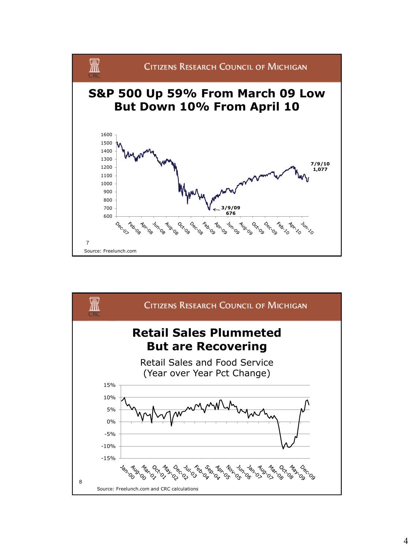

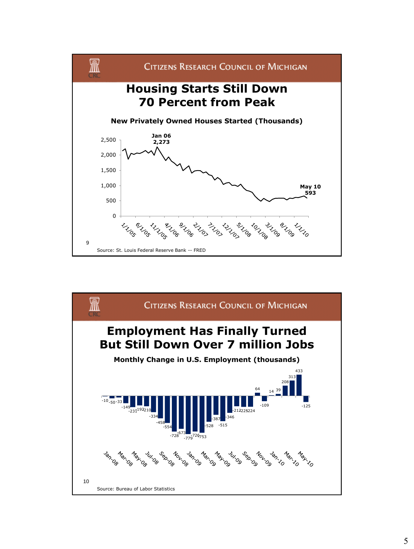

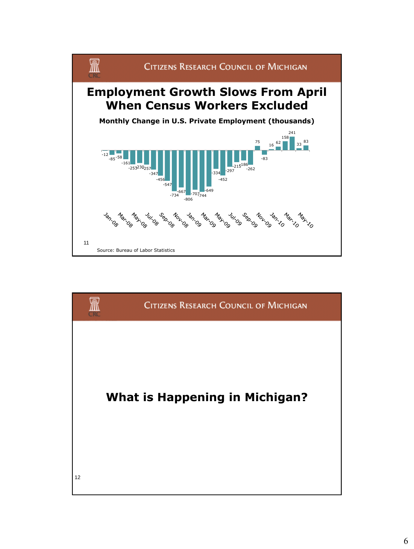

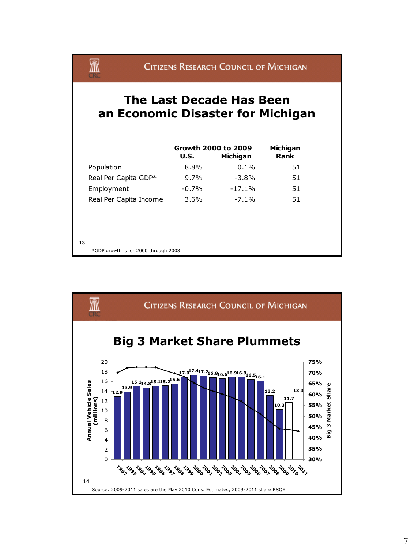## CITIZENS RESEARCH COUNCIL OF MICHIGAN

## **The Last Decade Has Been an Economic Disaster for Michigan**

R

|                                       | U.S.    | Growth 2000 to 2009<br>Michigan | Michigan<br><b>Rank</b> |
|---------------------------------------|---------|---------------------------------|-------------------------|
| Population                            | 8.8%    | $0.1\%$                         | 51                      |
| Real Per Capita GDP*                  | $9.7\%$ | $-3.8\%$                        | 51                      |
| Employment                            | $-0.7%$ | $-17.1%$                        | 51                      |
| Real Per Capita Income                | $3.6\%$ | $-7.1\%$                        | 51                      |
|                                       |         |                                 |                         |
|                                       |         |                                 |                         |
|                                       |         |                                 |                         |
| 13                                    |         |                                 |                         |
| *GDP growth is for 2000 through 2008. |         |                                 |                         |

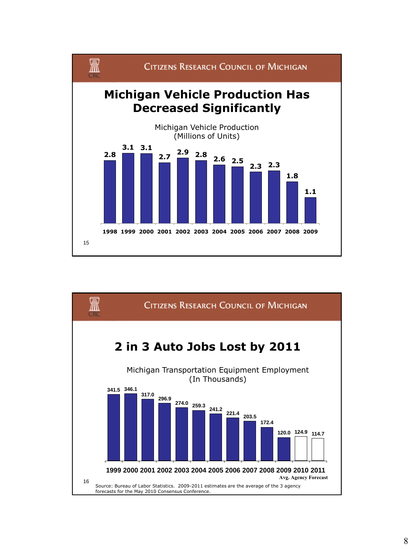

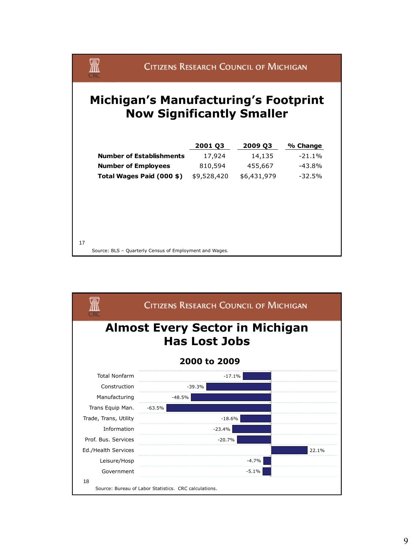

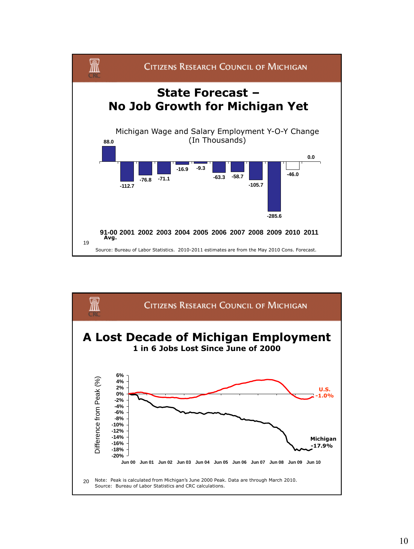

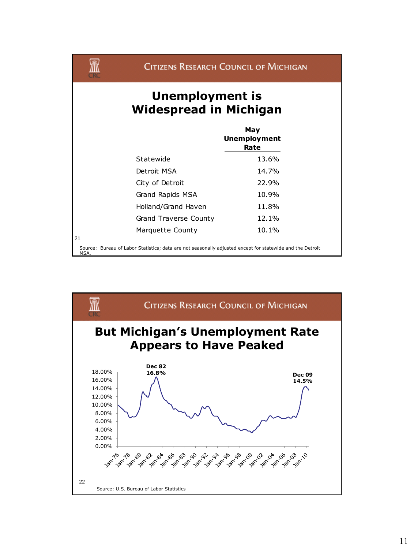| Unemployment is<br><b>Widespread in Michigan</b> |                                    |  |
|--------------------------------------------------|------------------------------------|--|
|                                                  | May<br><b>Unemployment</b><br>Rate |  |
| Statewide                                        | 13.6%                              |  |
| Detroit MSA                                      | 14.7%                              |  |
| City of Detroit                                  | 22.9%                              |  |
| Grand Rapids MSA                                 | 10.9%                              |  |
| Holland/Grand Haven                              | 11.8%                              |  |
| Grand Traverse County                            | 12.1%                              |  |
| Marquette County                                 | 10.1%                              |  |

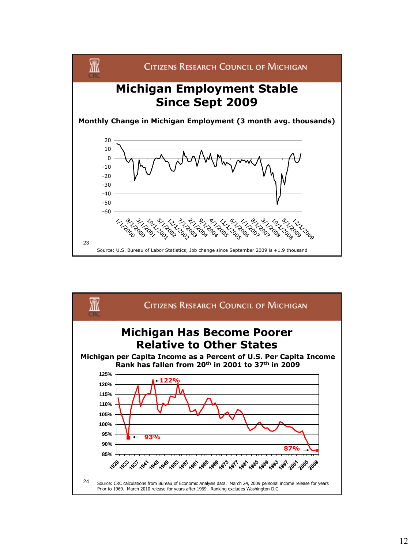

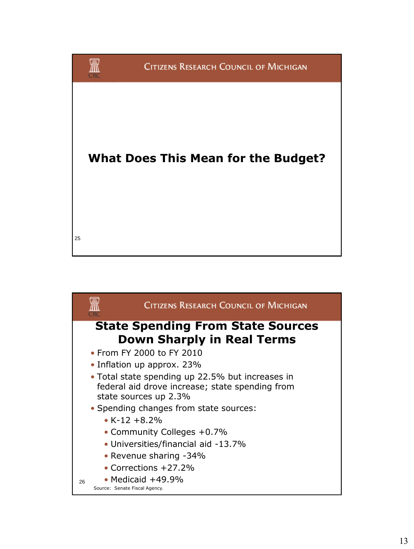

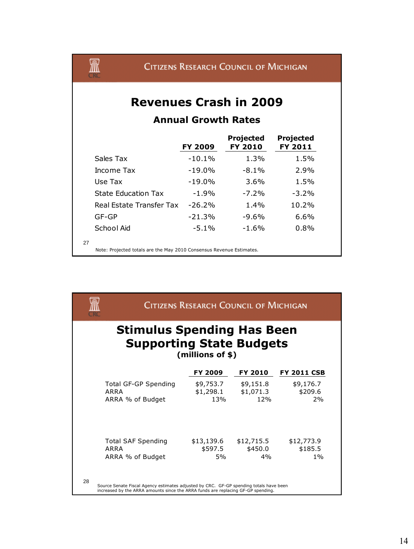

## **Revenues Crash in 2009**

## **Annual Growth Rates**

|                                                                      | <b>FY 2009</b> | <b>Projected</b><br><b>FY 2010</b> | Projected<br>FY 2011 |
|----------------------------------------------------------------------|----------------|------------------------------------|----------------------|
| Sales Tax                                                            | $-10.1%$       | 1.3%                               | 1.5%                 |
| Income Tax                                                           | $-19.0%$       | $-8.1\%$                           | 2.9%                 |
| Use Tax                                                              | $-19.0%$       | $3.6\%$                            | 1.5%                 |
| <b>State Education Tax</b>                                           | $-1.9%$        | $-7.2%$                            | $-3.2\%$             |
| Real Estate Transfer Tax                                             | $-26.2%$       | $1.4\%$                            | 10.2%                |
| $GF-GP$                                                              | $-21.3%$       | $-9.6%$                            | 6.6%                 |
| School Aid                                                           | $-5.1\%$       | $-1.6%$                            | 0.8%                 |
| 27                                                                   |                |                                    |                      |
| Note: Projected totals are the May 2010 Consensus Revenue Estimates. |                |                                    |                      |

 $\, {\mathbb R} \,$ **CITIZENS RESEARCH COUNCIL OF MICHIGAN Stimulus Spending Has Been Supporting State Budgets (millions of \$) FY 2009 FY 2010 FY 2011 CSB** Total GF-GP Spending \$9,753.7 \$9,151.8 \$9,176.7 ARRA \$1,298.1 \$1,071.3 \$209.6 ARRA % of Budget 13% 12% 2% Total SAF Spending  $$13,139.6$   $$12,715.5$   $$12,773.9$ <br>ARRA  $$597.5$   $$450.0$   $$185.5$ ARRA \$597.5 \$450.0 ARRA % of Budget 5% 4% 1% 28 Source Senate Fiscal Agency estimates adjusted by CRC. GF-GP spending totals have been increased by the ARRA amounts since the ARRA funds are replacing GF-GP spending.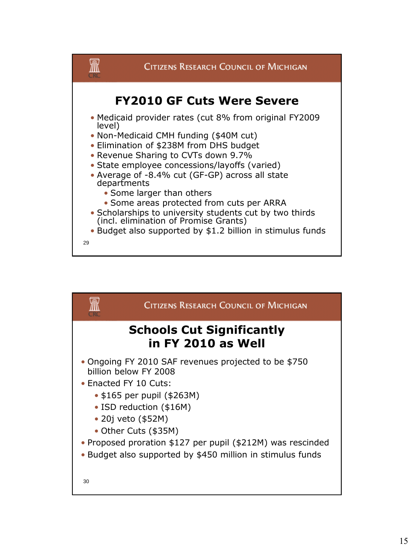

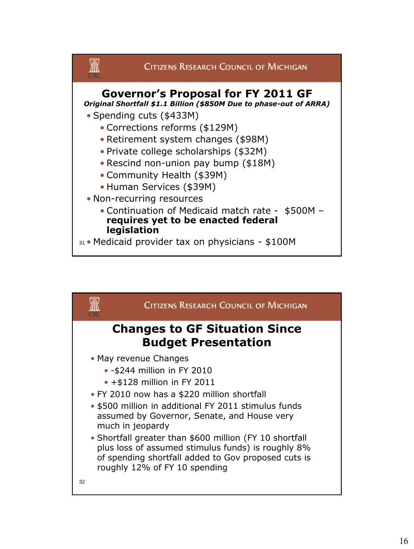

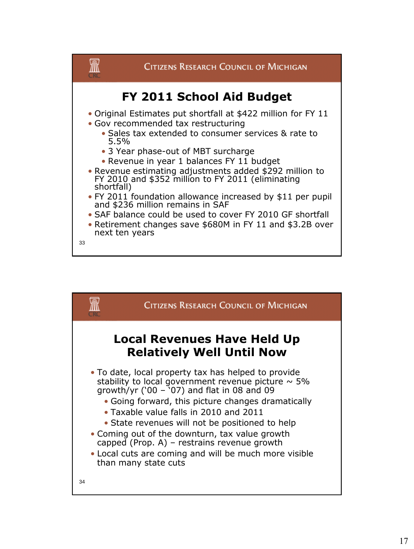

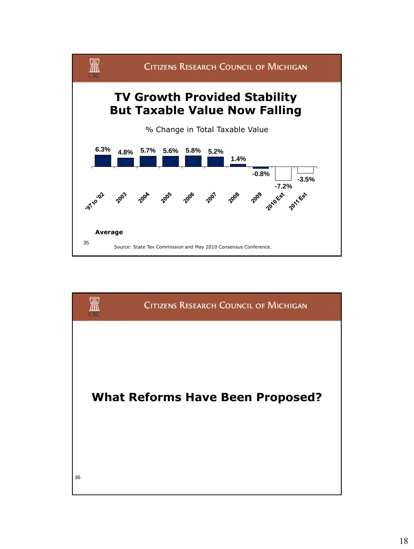

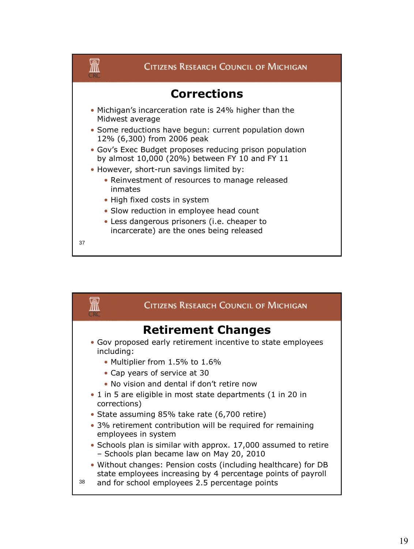

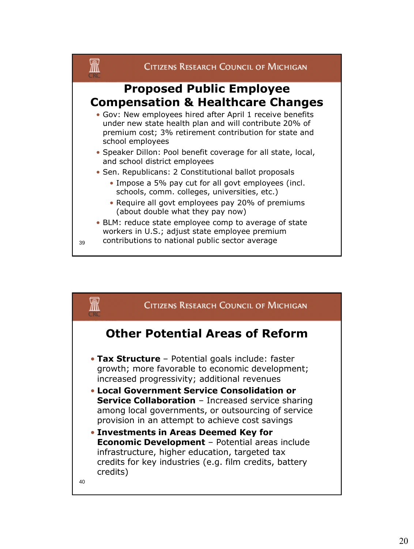

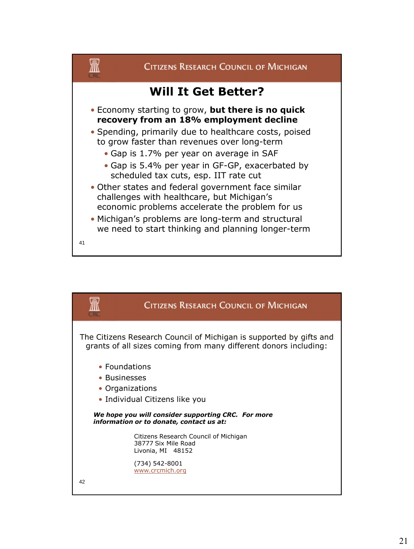